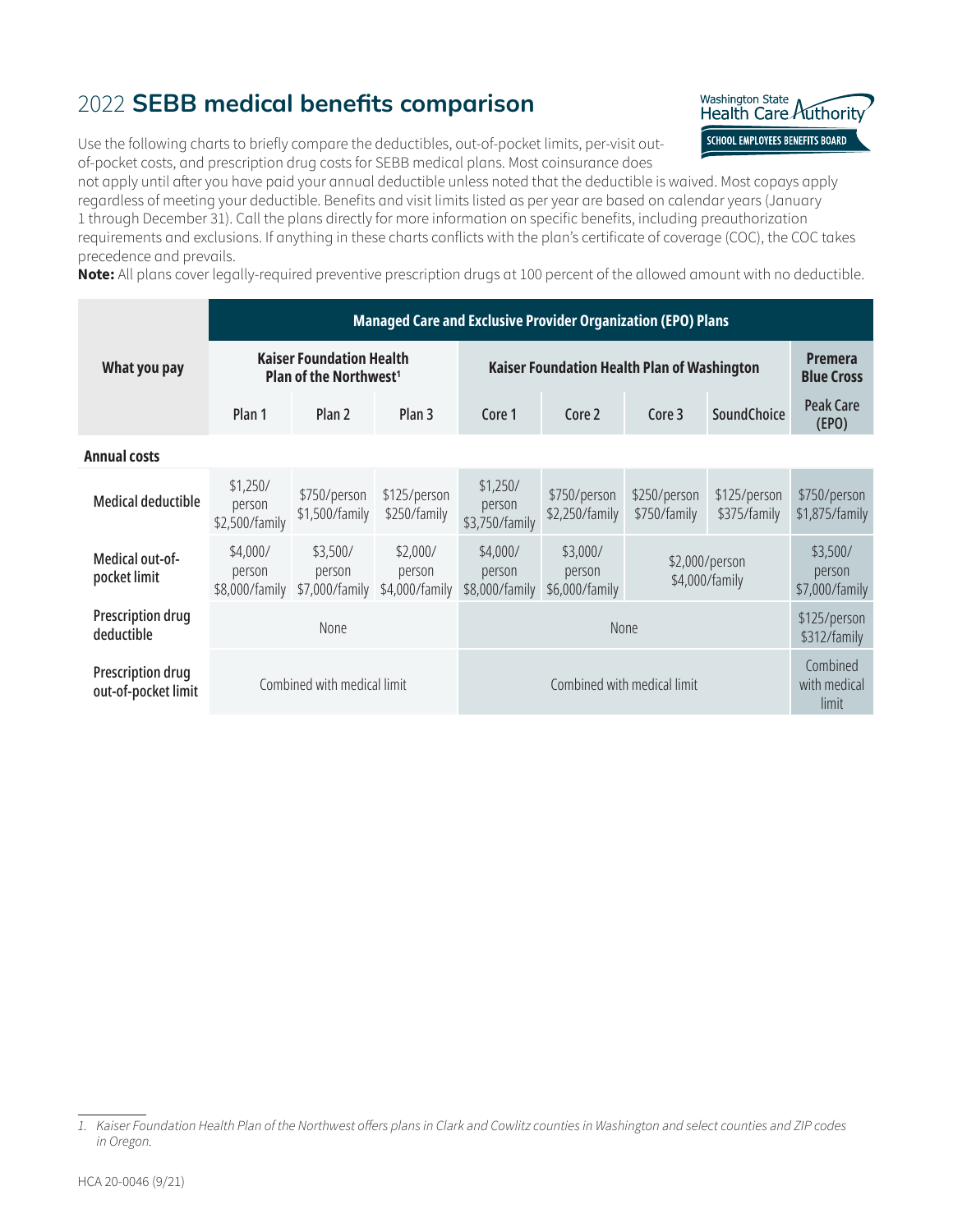## <span id="page-0-1"></span>2022 **SEBB medical benefits comparison**



Use the following charts to briefly compare the deductibles, out-of-pocket limits, per-visit outof-pocket costs, and prescription drug costs for SEBB medical plans. Most coinsurance does

not apply until after you have paid your annual deductible unless noted that the deductible is waived. Most copays apply regardless of meeting your deductible. Benefits and visit limits listed as per year are based on calendar years (January 1 through December 31). Call the plans directly for more information on specific benefits, including preauthorization requirements and exclusions. If anything in these charts conflicts with the plan's certificate of coverage (COC), the COC takes precedence and prevails.

**Note:** All plans cover legally-required preventive prescription drugs at 100 percent of the allowed amount with no deductible.

|                                          |                                      | <b>Managed Care and Exclusive Provider Organization (EPO) Plans</b>          |                              |                                      |                                             |                                  |                                      |                                |  |  |  |  |  |
|------------------------------------------|--------------------------------------|------------------------------------------------------------------------------|------------------------------|--------------------------------------|---------------------------------------------|----------------------------------|--------------------------------------|--------------------------------|--|--|--|--|--|
| What you pay                             |                                      | <b>Kaiser Foundation Health</b><br>Plan of the Northwest <sup>1</sup>        |                              |                                      | Kaiser Foundation Health Plan of Washington |                                  |                                      |                                |  |  |  |  |  |
|                                          | Plan 1                               | Plan <sub>2</sub><br>Plan <sub>3</sub>                                       |                              | Core 1                               | Core 2                                      | Core <sub>3</sub>                | SoundChoice                          |                                |  |  |  |  |  |
| <b>Annual costs</b>                      |                                      |                                                                              |                              |                                      |                                             |                                  |                                      |                                |  |  |  |  |  |
| <b>Medical deductible</b>                | \$1,250/<br>person<br>\$2,500/family | \$750/person<br>\$1,500/family                                               | \$125/person<br>\$250/family | \$1,250/<br>person<br>\$3,750/family | \$750/person<br>\$2,250/family              | \$250/person<br>\$750/family     | \$125/person<br>\$375/family         | \$750/person<br>\$1,875/family |  |  |  |  |  |
| Medical out-of-<br>pocket limit          | \$4,000/<br>person<br>\$8,000/family | \$3,500/<br>\$2,000/<br>person<br>person<br>\$7,000/family<br>\$4,000/family |                              |                                      | \$3,000/<br>person<br>\$6,000/family        | \$2,000/person<br>\$4,000/family | \$3,500/<br>person<br>\$7,000/family |                                |  |  |  |  |  |
| <b>Prescription drug</b><br>deductible   |                                      | <b>None</b>                                                                  |                              |                                      | \$125/person<br>\$312/family                |                                  |                                      |                                |  |  |  |  |  |
| Prescription drug<br>out-of-pocket limit |                                      | Combined with medical limit                                                  |                              |                                      | Combined<br>with medical<br>limit           |                                  |                                      |                                |  |  |  |  |  |

<span id="page-0-0"></span>*<sup>1.</sup> Kaiser Foundation Health Plan of the Northwest offers plans in Clark and Cowlitz counties in Washington and select counties and ZIP codes in Oregon.*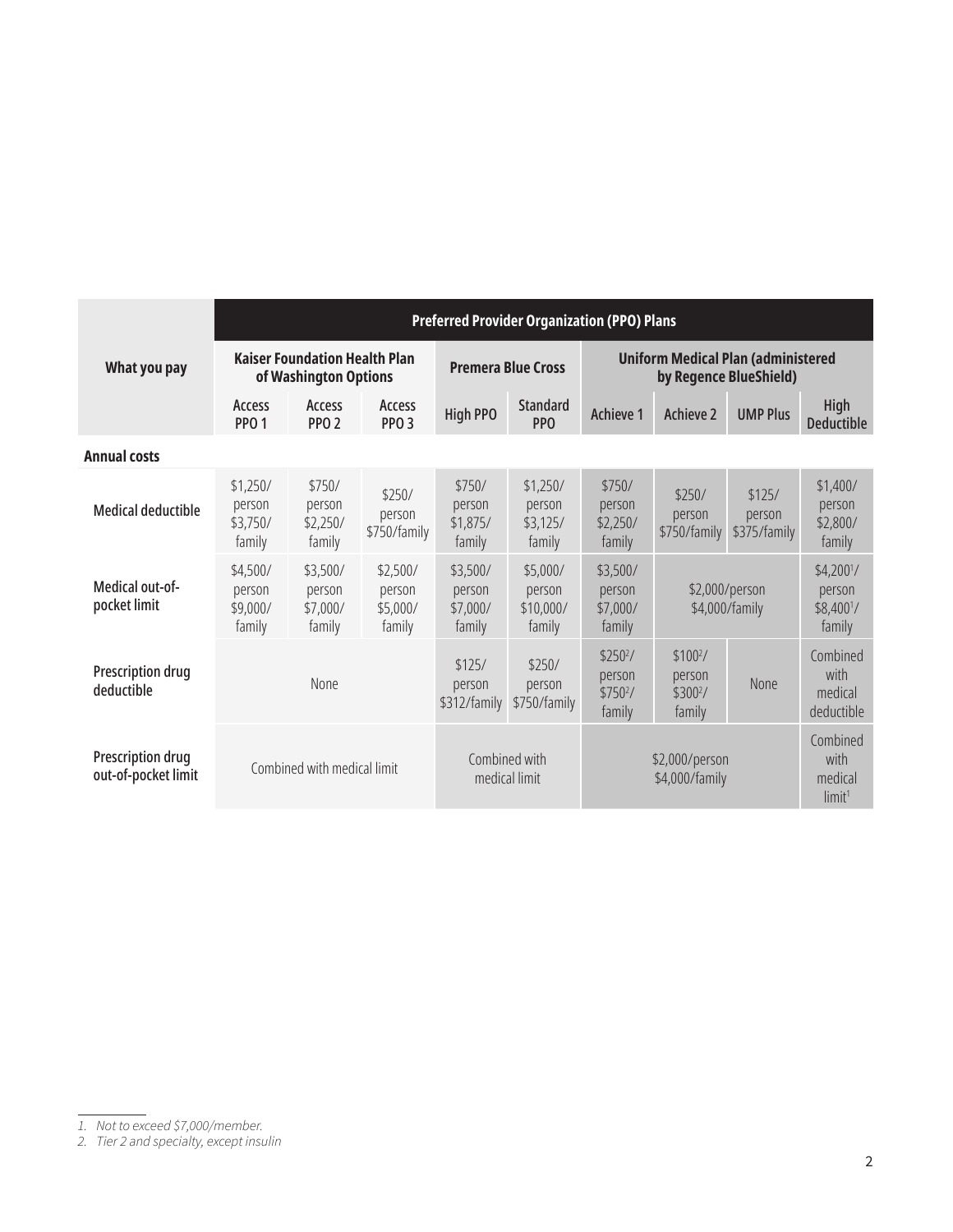|                                          |                                          |                                                               | <b>Preferred Provider Organization (PPO) Plans</b> |                                          |                                                                  |                                                                  |                                                                     |                                           |                                                    |  |  |  |
|------------------------------------------|------------------------------------------|---------------------------------------------------------------|----------------------------------------------------|------------------------------------------|------------------------------------------------------------------|------------------------------------------------------------------|---------------------------------------------------------------------|-------------------------------------------|----------------------------------------------------|--|--|--|
| What you pay                             |                                          | <b>Kaiser Foundation Health Plan</b><br>of Washington Options |                                                    |                                          | <b>Premera Blue Cross</b>                                        |                                                                  | <b>Uniform Medical Plan (administered</b><br>by Regence BlueShield) |                                           |                                                    |  |  |  |
|                                          | Access<br>PP <sub>0</sub> 1              | Access<br>PP <sub>O</sub> <sub>2</sub>                        | Access<br>PPO <sub>3</sub>                         | <b>High PPO</b>                          | <b>Standard</b><br><b>PPO</b>                                    | Achieve 1                                                        | Achieve 2                                                           | <b>UMP Plus</b>                           | <b>High</b><br><b>Deductible</b>                   |  |  |  |
| <b>Annual costs</b>                      |                                          |                                                               |                                                    |                                          |                                                                  |                                                                  |                                                                     |                                           |                                                    |  |  |  |
| <b>Medical deductible</b>                | \$1,250/<br>person<br>\$3,750/<br>family | \$750/<br>person<br>\$2,250/<br>family                        | \$250/<br>person<br>\$750/family                   | \$750/<br>person<br>\$1,875/<br>family   | \$1,250/<br>person<br>\$3,125/<br>family                         | \$750/<br>person<br>\$2,250/<br>family                           | \$250/<br>person<br>\$750/family                                    | \$125/<br>person<br>\$375/family          | \$1,400/<br>person<br>\$2,800/<br>family           |  |  |  |
| Medical out-of-<br>pocket limit          | \$4,500/<br>person<br>\$9,000/<br>family | \$3,500/<br>person<br>\$7,000/<br>family                      | \$2,500/<br>person<br>\$5,000/<br>family           | \$3,500/<br>person<br>\$7,000/<br>family | \$5,000/<br>person<br>\$10,000/<br>family                        | \$3,500/<br>person<br>\$7,000/<br>family                         | \$2,000/person<br>\$4,000/family                                    |                                           | $$4,200^{1}/$<br>person<br>$$8,400^{1}/$<br>family |  |  |  |
| Prescription drug<br>deductible          | None                                     |                                                               | \$125/<br>person<br>\$312/family                   | \$250/<br>person<br>\$750/family         | \$250 <sup>2</sup> /<br>person<br>\$750 <sup>2</sup> /<br>family | \$100 <sup>2</sup> /<br>person<br>\$300 <sup>2</sup> /<br>family | None                                                                | Combined<br>with<br>medical<br>deductible |                                                    |  |  |  |
| Prescription drug<br>out-of-pocket limit | Combined with medical limit              |                                                               |                                                    | Combined with<br>medical limit           |                                                                  | \$2,000/person<br>\$4,000/family                                 |                                                                     |                                           | Combined<br>with<br>medical<br>limit <sup>1</sup>  |  |  |  |

*<sup>1.</sup> Not to exceed \$7,000/member.*

*<sup>2.</sup> Tier 2 and specialty, except insulin*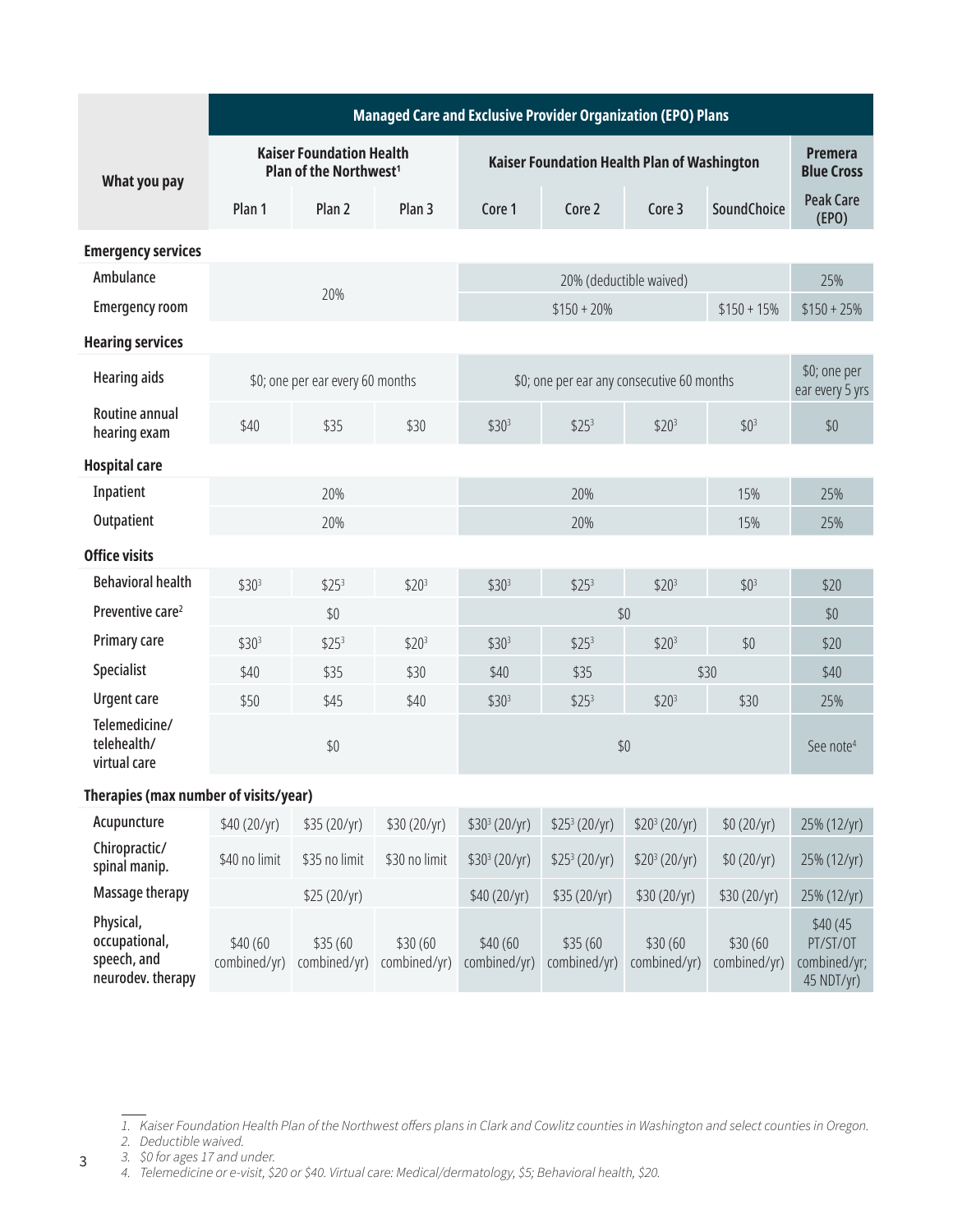|                                                                | Managed Care and Exclusive Provider Organization (EPO) Plans |                                                                       |                          |                           |                                             |                           |                          |                                                    |  |  |
|----------------------------------------------------------------|--------------------------------------------------------------|-----------------------------------------------------------------------|--------------------------|---------------------------|---------------------------------------------|---------------------------|--------------------------|----------------------------------------------------|--|--|
| What you pay                                                   |                                                              | <b>Kaiser Foundation Health</b><br>Plan of the Northwest <sup>1</sup> |                          |                           | Kaiser Foundation Health Plan of Washington |                           |                          |                                                    |  |  |
|                                                                | Plan 1                                                       | Plan <sub>2</sub>                                                     | Plan <sub>3</sub>        | Core 1                    | Core 2                                      | Core <sub>3</sub>         | SoundChoice              | <b>Peak Care</b><br>(FPO)                          |  |  |
| <b>Emergency services</b>                                      |                                                              |                                                                       |                          |                           |                                             |                           |                          |                                                    |  |  |
| Ambulance                                                      |                                                              |                                                                       |                          |                           |                                             | 20% (deductible waived)   |                          | 25%                                                |  |  |
| <b>Emergency room</b>                                          |                                                              | 20%                                                                   |                          |                           | $$150 + 20\%$                               |                           | $$150 + 15\%$            | $$150 + 25\%$                                      |  |  |
| <b>Hearing services</b>                                        |                                                              |                                                                       |                          |                           |                                             |                           |                          |                                                    |  |  |
| <b>Hearing aids</b>                                            |                                                              | \$0; one per ear every 60 months                                      |                          |                           | \$0; one per ear any consecutive 60 months  |                           |                          | \$0; one per<br>ear every 5 yrs                    |  |  |
| Routine annual<br>hearing exam                                 | \$40<br>\$35                                                 |                                                                       | \$30                     | \$30 <sup>3</sup>         | \$25 <sup>3</sup>                           | \$20 <sup>3</sup>         | \$0 <sup>3</sup>         | \$0                                                |  |  |
| <b>Hospital care</b>                                           |                                                              |                                                                       |                          |                           |                                             |                           |                          |                                                    |  |  |
| Inpatient                                                      |                                                              | 20%                                                                   |                          |                           | 20%                                         |                           | 15%                      | 25%                                                |  |  |
| Outpatient                                                     | 20%                                                          |                                                                       |                          |                           | 25%                                         |                           |                          |                                                    |  |  |
| <b>Office visits</b>                                           |                                                              |                                                                       |                          |                           |                                             |                           |                          |                                                    |  |  |
| <b>Behavioral health</b>                                       | \$30 <sup>3</sup>                                            | \$25 <sup>3</sup>                                                     | \$20 <sup>3</sup>        | \$30 <sup>3</sup>         | \$25 <sup>3</sup>                           | \$20 <sup>3</sup>         | \$0 <sup>3</sup>         | \$20                                               |  |  |
| Preventive care <sup>2</sup>                                   |                                                              | \$0                                                                   |                          |                           | \$0                                         |                           |                          |                                                    |  |  |
| Primary care                                                   | \$30 <sup>3</sup>                                            | \$25 <sup>3</sup>                                                     | \$20 <sup>3</sup>        | \$30 <sup>3</sup>         | \$25 <sup>3</sup>                           | \$20 <sup>3</sup>         | \$0                      | \$20                                               |  |  |
| Specialist                                                     | \$40                                                         | \$35                                                                  | \$30                     | \$40                      | \$35                                        |                           | \$30                     | \$40                                               |  |  |
| <b>Urgent care</b>                                             | \$50                                                         | \$45                                                                  | \$40                     | \$30 <sup>3</sup>         | \$25 <sup>3</sup>                           | \$20 <sup>3</sup>         | \$30                     | 25%                                                |  |  |
| Telemedicine/<br>telehealth/<br>virtual care                   |                                                              | \$0                                                                   |                          |                           | See note <sup>4</sup>                       |                           |                          |                                                    |  |  |
| Therapies (max number of visits/year)                          |                                                              |                                                                       |                          |                           |                                             |                           |                          |                                                    |  |  |
| Acupuncture                                                    | \$40 (20/yr)                                                 | \$35 (20/yr)                                                          | \$30 (20/yr)             | \$30 <sup>3</sup> (20/yr) | \$25 <sup>3</sup> (20/yr)                   | \$20 <sup>3</sup> (20/yr) | \$0 (20/yr)              | 25% (12/yr)                                        |  |  |
| Chiropractic/<br>spinal manip.                                 | \$40 no limit                                                | \$35 no limit                                                         | \$30 no limit            | \$30 <sup>3</sup> (20/yr) | \$25 <sup>3</sup> (20/yr)                   | \$20 <sup>3</sup> (20/yr) | \$0 (20/yr)              | 25% (12/yr)                                        |  |  |
| Massage therapy                                                |                                                              | \$25 (20/yr)                                                          |                          | \$40 (20/yr)              | \$35 (20/yr)                                | \$30 (20/yr)              | \$30 (20/yr)             | 25% (12/yr)                                        |  |  |
| Physical,<br>occupational,<br>speech, and<br>neurodev. therapy | \$40 (60<br>combined/yr)                                     | \$35 (60<br>combined/yr)                                              | \$30 (60<br>combined/yr) | \$40 (60<br>combined/yr)  | \$35(60)<br>combined/yr)                    | \$30 (60<br>combined/yr)  | \$30 (60<br>combined/yr) | \$40(45)<br>PT/ST/OT<br>combined/yr;<br>45 NDT/yr) |  |  |

*3. \$0 for ages 17 and under.*

3

<span id="page-2-1"></span>*<sup>1.</sup> Kaiser Foundation Health Plan of the Northwest offers plans in Clark and Cowlitz counties in Washington and select counties in Oregon.*

<span id="page-2-0"></span>*<sup>2.</sup> Deductible waived.*

<span id="page-2-2"></span>*<sup>4.</sup> Telemedicine or e-visit, \$20 or \$40. Virtual care: Medical/dermatology, \$5; Behavioral health, \$20.*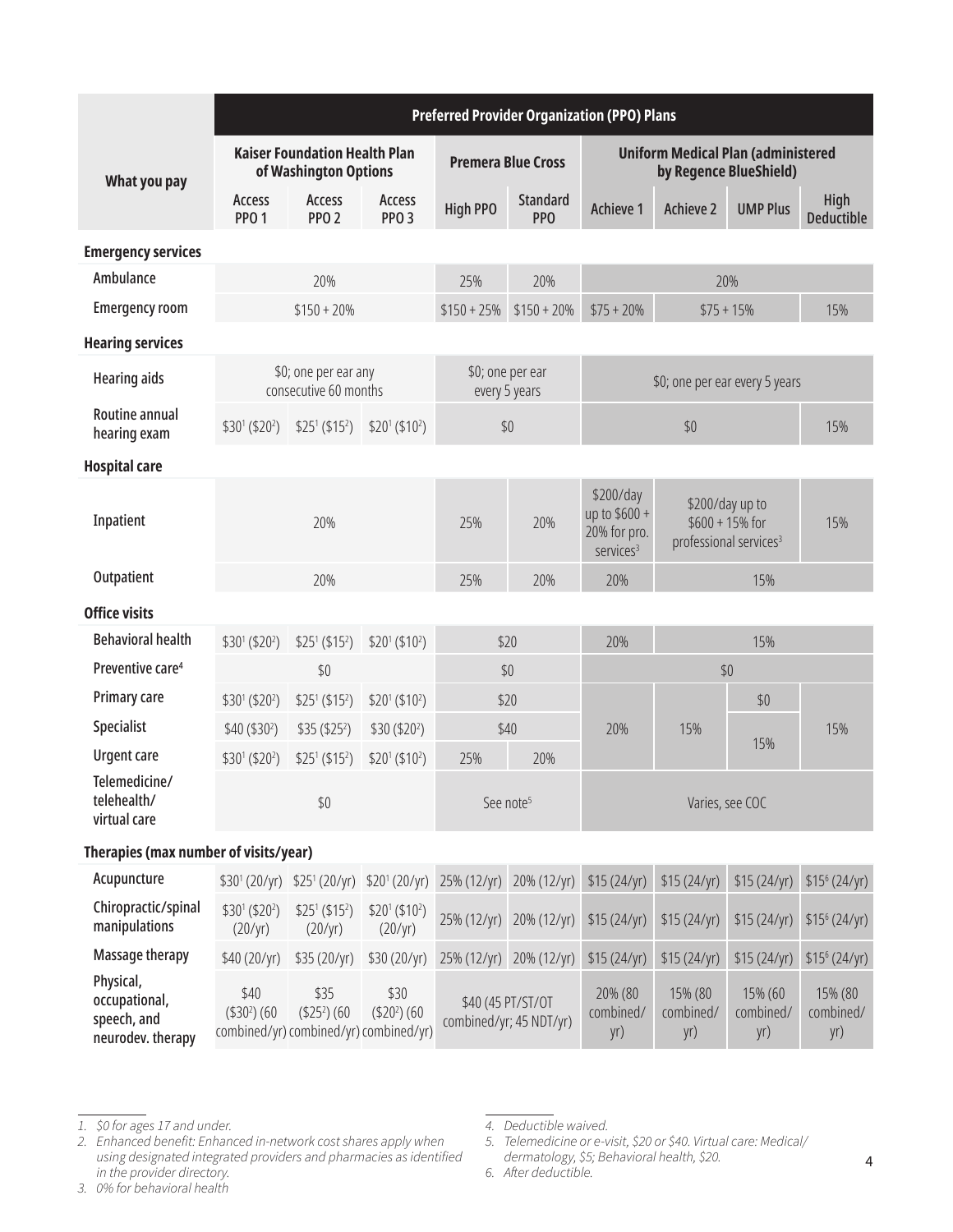|                                                                | <b>Preferred Provider Organization (PPO) Plans</b> |                                                                |                                        |                                              |                                   |                                                                                                                                                   |                             |                                                                     |                             |
|----------------------------------------------------------------|----------------------------------------------------|----------------------------------------------------------------|----------------------------------------|----------------------------------------------|-----------------------------------|---------------------------------------------------------------------------------------------------------------------------------------------------|-----------------------------|---------------------------------------------------------------------|-----------------------------|
| What you pay                                                   |                                                    | <b>Kaiser Foundation Health Plan</b><br>of Washington Options  |                                        |                                              | <b>Premera Blue Cross</b>         |                                                                                                                                                   |                             | <b>Uniform Medical Plan (administered</b><br>by Regence BlueShield) |                             |
|                                                                | Access<br><b>PPO 1</b>                             | Access<br>PPO <sub>2</sub>                                     | Access<br>PPO <sub>3</sub>             | <b>High PPO</b>                              | <b>Standard</b><br><b>PPO</b>     | <b>Achieve 1</b>                                                                                                                                  | <b>Achieve 2</b>            | <b>UMP Plus</b>                                                     | High<br><b>Deductible</b>   |
| <b>Emergency services</b>                                      |                                                    |                                                                |                                        |                                              |                                   |                                                                                                                                                   |                             |                                                                     |                             |
| Ambulance                                                      |                                                    | 20%                                                            |                                        | 25%                                          | 20%                               |                                                                                                                                                   |                             | 20%                                                                 |                             |
| <b>Emergency room</b>                                          |                                                    | $$150 + 20\%$                                                  |                                        | $$150 + 25\%$                                | $$150 + 20\%$                     | $$75 + 20\%$                                                                                                                                      | $$75 + 15\%$                |                                                                     | 15%                         |
| <b>Hearing services</b>                                        |                                                    |                                                                |                                        |                                              |                                   |                                                                                                                                                   |                             |                                                                     |                             |
| <b>Hearing aids</b>                                            |                                                    | \$0; one per ear any<br>consecutive 60 months                  |                                        |                                              | \$0; one per ear<br>every 5 years |                                                                                                                                                   |                             | \$0; one per ear every 5 years                                      |                             |
| Routine annual<br>hearing exam                                 | $$30^1 ($20^2)$                                    | $$25^1$ (\$15 <sup>2</sup> )                                   | $$20^1$ (\$10 <sup>2</sup> )           |                                              | \$0                               |                                                                                                                                                   | \$0                         |                                                                     | 15%                         |
| <b>Hospital care</b>                                           |                                                    |                                                                |                                        |                                              |                                   |                                                                                                                                                   |                             |                                                                     |                             |
| Inpatient                                                      | 20%                                                |                                                                |                                        | 25%                                          | 20%                               | \$200/day<br>\$200/day up to<br>up to \$600 +<br>$$600 + 15\%$ for<br>20% for pro.<br>professional services <sup>3</sup><br>services <sup>3</sup> |                             | 15%                                                                 |                             |
| Outpatient                                                     |                                                    | 20%                                                            |                                        | 25%                                          | 20%                               | 20%                                                                                                                                               |                             | 15%                                                                 |                             |
| <b>Office visits</b>                                           |                                                    |                                                                |                                        |                                              |                                   |                                                                                                                                                   |                             |                                                                     |                             |
| <b>Behavioral health</b>                                       | $$30^1$ (\$20 <sup>2</sup> )                       | $$25^1$ (\$15 <sup>2</sup> )                                   | $$20^1 ($10^2$)$                       | \$20                                         |                                   | 20%<br>15%                                                                                                                                        |                             |                                                                     |                             |
| Preventive care <sup>4</sup>                                   |                                                    | $$0$$                                                          |                                        | \$0                                          |                                   | \$0                                                                                                                                               |                             |                                                                     |                             |
| Primary care                                                   | \$301 (\$202)                                      | $$25^1$ (\$15 <sup>2</sup> )                                   | $$20^1 ($10^2$)$                       |                                              | \$20                              |                                                                                                                                                   |                             | \$0                                                                 |                             |
| <b>Specialist</b>                                              | \$40 (\$30 <sup>2</sup> )                          | \$35 (\$25 <sup>2</sup> )                                      | \$30 (\$20 <sup>2</sup> )              |                                              | \$40                              | 20%                                                                                                                                               | 15%                         |                                                                     | 15%                         |
| <b>Urgent care</b>                                             | \$30 <sup>1</sup> (\$20 <sup>2</sup> \$)           | $$25^1$ (\$15 <sup>2</sup> )                                   | \$20 <sup>1</sup> (\$10 <sup>2</sup> ) | 25%                                          | 20%                               |                                                                                                                                                   |                             | 15%                                                                 |                             |
| Telemedicine/<br>telehealth/<br>virtual care                   |                                                    | $$0$$                                                          |                                        |                                              | See note <sup>5</sup>             | Varies, see COC                                                                                                                                   |                             |                                                                     |                             |
| Therapies (max number of visits/year)                          |                                                    |                                                                |                                        |                                              |                                   |                                                                                                                                                   |                             |                                                                     |                             |
| Acupuncture                                                    |                                                    | $$30^1 (20/yr) $25^1 (20/yr)$                                  | $$20^1 (20/yr)$                        | 25% (12/yr)                                  | 20% (12/yr)                       | \$15(24/yr)                                                                                                                                       | \$15(24/yr)                 | \$15(24/yr)                                                         | \$15 <sup>6</sup> (24/yr)   |
| Chiropractic/spinal<br>manipulations                           | \$301 (\$202)<br>(20/yr)                           | $$25^1$ (\$15 <sup>2</sup> )<br>(20/yr)                        | $$20^1 ($10^2$)$<br>(20/yr)            | 25% (12/yr)                                  | 20% (12/yr)                       | \$15(24/yr)                                                                                                                                       | \$15(24/yr)                 | \$15(24/yr)                                                         | \$15 <sup>6</sup> (24/yr)   |
| Massage therapy                                                | \$40 (20/yr)                                       | \$35 (20/yr)                                                   | \$30(20/yr)                            | 25% (12/yr)                                  | 20% (12/yr)                       | \$15(24/yr)                                                                                                                                       | \$15(24/yr)                 | \$15(24/yr)                                                         | \$15 <sup>6</sup> (24/yr)   |
| Physical,<br>occupational,<br>speech, and<br>neurodev. therapy | \$40<br>$($302)$ (60                               | \$35<br>$($252)$ (60<br>combined/yr) combined/yr) combined/yr) | \$30<br>$($202)$ (60                   | \$40 (45 PT/ST/OT<br>combined/yr; 45 NDT/yr) |                                   | 20% (80<br>combined/<br>yr)                                                                                                                       | 15% (80<br>combined/<br>yr) | 15% (60<br>combined/<br>yr)                                         | 15% (80<br>combined/<br>yr) |

<span id="page-3-0"></span>*<sup>1.</sup> \$0 for ages 17 and under.*

<span id="page-3-1"></span>*<sup>2.</sup> Enhanced benefit: Enhanced in-network cost shares apply when using designated integrated providers and pharmacies as identified in the provider directory.*

<span id="page-3-2"></span>*<sup>3.</sup> 0% for behavioral health*

<span id="page-3-3"></span>*<sup>4.</sup> Deductible waived.*

<span id="page-3-4"></span>*<sup>5.</sup> Telemedicine or e-visit, \$20 or \$40. Virtual care: Medical/*

<span id="page-3-5"></span>*dermatology, \$5; Behavioral health, \$20.*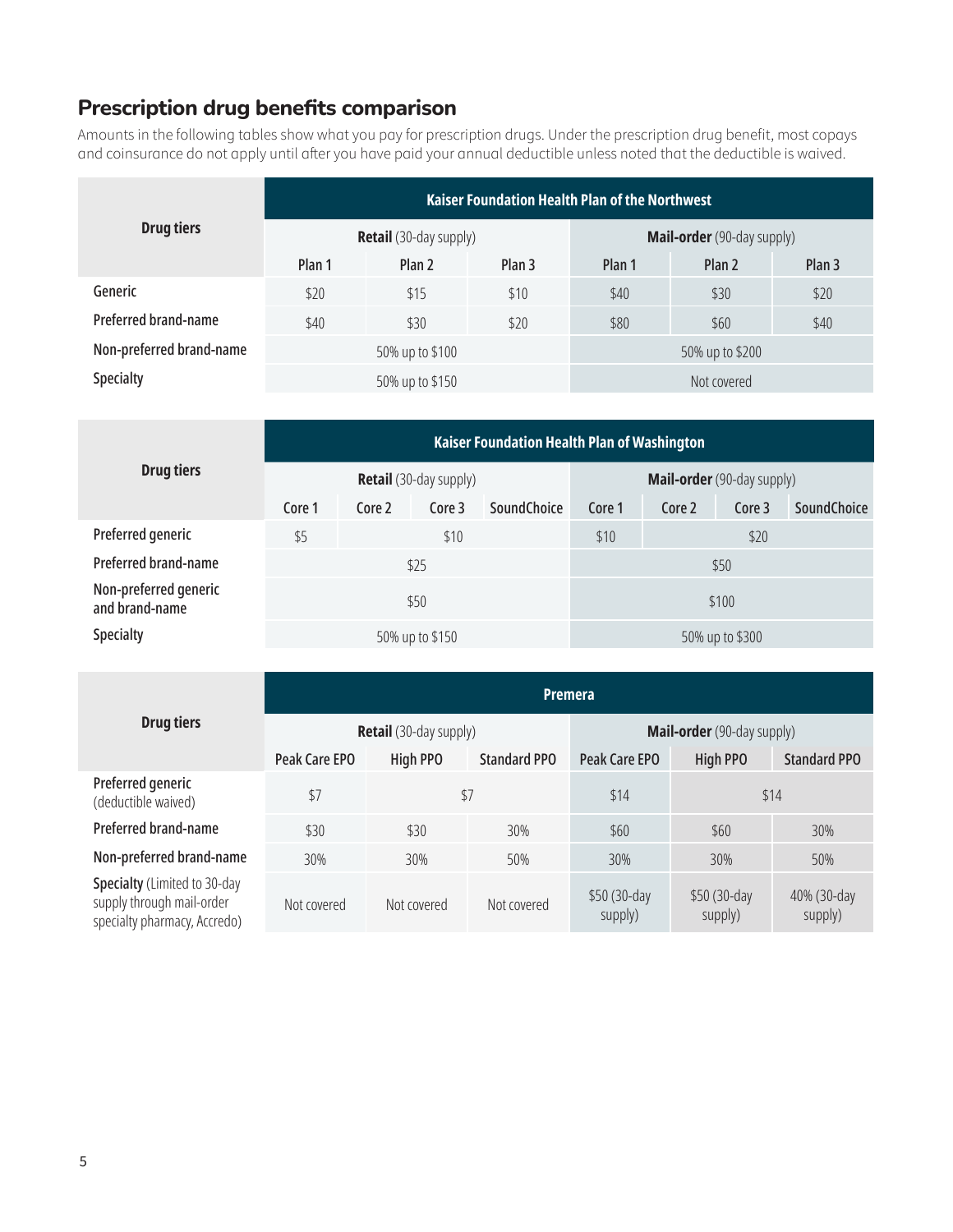## **Prescription drug benefits comparison**

Amounts in the following tables show what you pay for prescription drugs. Under the prescription drug benefit, most copays and coinsurance do not apply until after you have paid your annual deductible unless noted that the deductible is waived.

| <b>Drug tiers</b>        | <b>Kaiser Foundation Health Plan of the Northwest</b> |                               |                   |                                   |                   |                   |  |  |  |
|--------------------------|-------------------------------------------------------|-------------------------------|-------------------|-----------------------------------|-------------------|-------------------|--|--|--|
|                          |                                                       | <b>Retail</b> (30-day supply) |                   | <b>Mail-order</b> (90-day supply) |                   |                   |  |  |  |
|                          | Plan 1                                                | Plan 2                        | Plan <sub>3</sub> | Plan 1                            | Plan <sub>2</sub> | Plan <sub>3</sub> |  |  |  |
| Generic                  | \$20                                                  | \$15                          | \$10              | \$40                              | \$20<br>\$30      |                   |  |  |  |
| Preferred brand-name     | \$40                                                  | \$30                          | \$20              | \$80<br>\$40<br>\$60              |                   |                   |  |  |  |
| Non-preferred brand-name |                                                       | 50% up to \$100               |                   | 50% up to \$200                   |                   |                   |  |  |  |
| <b>Specialty</b>         |                                                       | 50% up to \$150               |                   | Not covered                       |                   |                   |  |  |  |

| <b>Drug tiers</b>                       | Kaiser Foundation Health Plan of Washington |                               |                                   |                    |        |        |                 |                    |  |  |
|-----------------------------------------|---------------------------------------------|-------------------------------|-----------------------------------|--------------------|--------|--------|-----------------|--------------------|--|--|
|                                         |                                             | <b>Retail</b> (30-day supply) | <b>Mail-order</b> (90-day supply) |                    |        |        |                 |                    |  |  |
|                                         | Core 1                                      | Core 2                        | Core 3                            | <b>SoundChoice</b> | Core 1 | Core 2 | Core 3          | <b>SoundChoice</b> |  |  |
| Preferred generic                       | \$5                                         | \$10                          |                                   |                    |        | \$20   |                 |                    |  |  |
| <b>Preferred brand-name</b>             |                                             |                               | \$25                              |                    | \$50   |        |                 |                    |  |  |
| Non-preferred generic<br>and brand-name |                                             | \$50                          |                                   |                    |        | \$100  |                 |                    |  |  |
| <b>Specialty</b>                        |                                             | 50% up to \$150               |                                   |                    |        |        | 50% up to \$300 |                    |  |  |

|                                                                                           | <b>Premera</b> |                               |                     |                                   |                         |                        |  |  |  |  |
|-------------------------------------------------------------------------------------------|----------------|-------------------------------|---------------------|-----------------------------------|-------------------------|------------------------|--|--|--|--|
| <b>Drug tiers</b>                                                                         |                | <b>Retail</b> (30-day supply) |                     | <b>Mail-order</b> (90-day supply) |                         |                        |  |  |  |  |
|                                                                                           | Peak Care EPO  | <b>High PPO</b>               | <b>Standard PPO</b> | Peak Care EPO                     | <b>High PPO</b>         | <b>Standard PPO</b>    |  |  |  |  |
| Preferred generic<br>(deductible waived)                                                  | \$7            | \$7                           |                     | \$14                              | \$14                    |                        |  |  |  |  |
| Preferred brand-name                                                                      | \$30           | \$30                          | 30%                 | \$60                              | \$60                    | 30%                    |  |  |  |  |
| Non-preferred brand-name                                                                  | 30%            | 30%                           | 50%                 | 30%                               | 30%                     | 50%                    |  |  |  |  |
| Specialty (Limited to 30-day<br>supply through mail-order<br>specialty pharmacy, Accredo) | Not covered    | Not covered                   | Not covered         | \$50 (30-day<br>supply)           | \$50 (30-day<br>supply) | 40% (30-day<br>supply) |  |  |  |  |